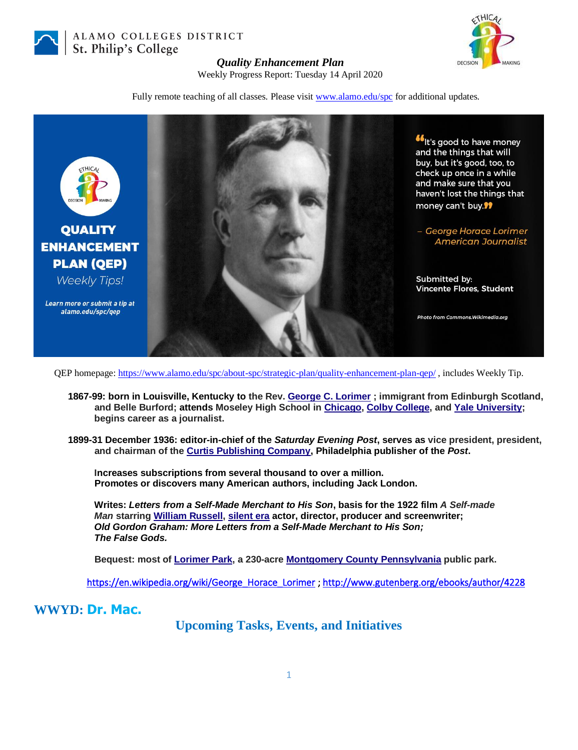

ALAMO COLLEGES DISTRICT St. Philip's College



## *Quality Enhancement Plan*

Weekly Progress Report: Tuesday 14 April 2020

Fully remote teaching of all classes. Please visit [www.alamo.edu/spc](https://mail.alamo.edu/owa/redir.aspx?C=0RYlCqievwdtcsDmAA0Mm2kYSEKf2q5gGF1os6MJA2nvyBDS0szXCA..&URL=http%3a%2f%2fwww.alamo.edu%2fspc) for additional updates.



QEP homepage:<https://www.alamo.edu/spc/about-spc/strategic-plan/quality-enhancement-plan-qep/> , includes Weekly Tip.

- **1867-99: born in Louisville, Kentucky to the Rev. [George C. Lorimer](https://en.wikipedia.org/wiki/George_C._Lorimer) ; immigrant from Edinburgh Scotland, and Belle Burford; attends Moseley High School in [Chicago,](https://en.wikipedia.org/wiki/Chicago) [Colby College,](https://en.wikipedia.org/wiki/Colby_College) and Yale [University;](https://en.wikipedia.org/wiki/Yale_University) begins career as a journalist.**
- **1899-31 December 1936: editor-in-chief of the** *Saturday Evening Post***, serves as vice president, president, and chairman of th[e Curtis Publishing Company,](https://en.wikipedia.org/wiki/Curtis_Publishing_Company) Philadelphia publisher of the** *Post***.**

 **Increases subscriptions from several thousand to over a million. Promotes or discovers many American authors, including Jack London.**

 **Writes:** *Letters from a Self-Made Merchant to His Son***, basis for the 1922 film** *A Self-made*  *Man* **starring [William Russell,](https://en.wikipedia.org/wiki/William_Russell_(American_actor)) [silent era](https://en.wikipedia.org/wiki/Silent_film) actor, director, producer and screenwriter;**  *Old Gordon Graham: More Letters from a Self-Made Merchant to His Son; The False Gods.*

 **Bequest: most of [Lorimer Park,](https://en.wikipedia.org/wiki/Lorimer_Park) a 230-acre [Montgomery County](https://en.wikipedia.org/wiki/Montgomery_County,_Pennsylvania) Pennsylvania public park.**

[https://en.wikipedia.org/wiki/George\\_Horace\\_Lorimer](https://en.wikipedia.org/wiki/George_Horace_Lorimer) ;<http://www.gutenberg.org/ebooks/author/4228>

**WWYD: Dr. Mac.**

**Upcoming Tasks, Events, and Initiatives**